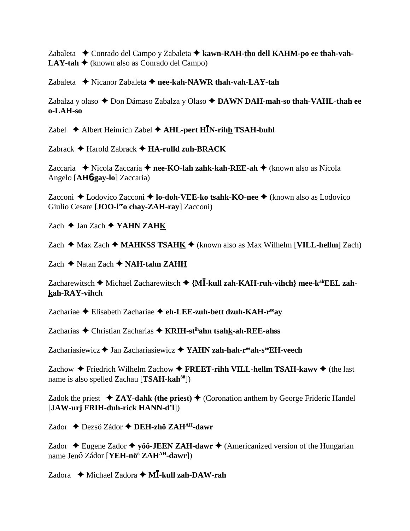Zabaleta Conrado del Campo y Zabaleta **kawn-RAH-tho dell KAHM-po ee thah-vah-LAY-tah**  $\triangle$  (known also as Conrado del Campo)

Zabaleta  **→** Nicanor Zabaleta → nee-kah-NAWR thah-vah-LAY-tah

Zabalza y olaso ◆ Don Dámaso Zabalza y Olaso ◆ DAWN DAH-mah-so thah-VAHL-thah ee **o-LAH-so**

Zabel Albert Heinrich Zabel **AHL-pert HN-rihh TSAH-buhl**

Zabrack Harold Zabrack **HA-rulld zuh-BRACK**

Zaccaria Nicola Zaccaria **nee-KO-lah zahk-kah-REE-ah** (known also as Nicola Angelo [**AH**6**-gay-lo**] Zaccaria)

Zacconi ◆ Lodovico Zacconi ◆ **lo-doh-VEE-ko tsahk-KO-nee** ◆ (known also as Lodovico Giulio Cesare [JOO-l<sup>ee</sup>o chay-ZAH-ray] Zacconi)

 $Zach \triangleleft$  Jan Zach  $\triangleleft$  YAHN ZAHK

Zach  $\triangle$  Max Zach  $\triangle$  **MAHKSS TSAHK**  $\triangle$  (known also as Max Wilhelm [**VILL-hellm**] Zach)

Zach ◆ Natan Zach ◆ **NAH-tahn ZAHH** 

Zacharewitsch ◆ Michael Zacharewitsch ◆ {M**I-kull zah-KAH-ruh-vihch**} mee-k<sup>ah</sup>EEL zah**kah-RAY-vihch**

Zachariae Elisabeth Zachariae **eh-LEE-zuh-bett dzuh-KAH-reeay**

Zacharias Christian Zacharias **KRIH-stihahn tsahk-ah-REE-ahss**

Zachariasiewicz **→** Jan Zachariasiewicz → YAHN zah-hah-r<sup>ee</sup>ah-s<sup>ee</sup>EH-veech

Zachow  $\triangle$  Friedrich Wilhelm Zachow  $\triangle$  **FREET-rihh VILL-hellm TSAH-kawv**  $\triangle$  (the last name is also spelled Zachau [**TSAH-kahôô**])

Zadok the priest  $\triangleleft ZAY$ -dahk (the priest)  $\triangleleft$  (Coronation anthem by George Frideric Handel [**JAW-urj FRIH-duh-rick HANN-d'l**])

Zador Dezsö Zádor **DEH-zhö ZAHAH-dawr**

Zador  $\triangle$  Eugene Zador  $\triangle$  yôô-**JEEN ZAH-dawr**  $\triangle$  (Americanized version of the Hungarian name Jenő Zádor [**YEH-nö<sup>ö</sup> ZAH<sup>AH</sup>-dawr**])

Zadora Michael Zadora **M-kull zah-DAW-rah**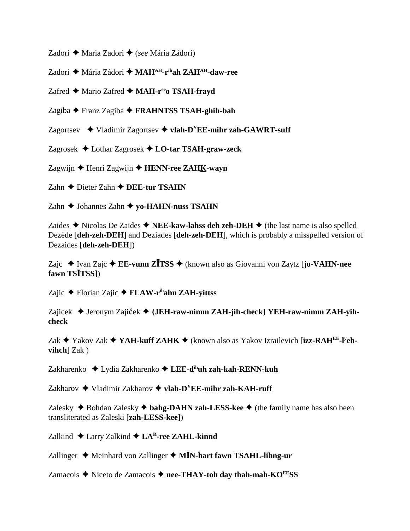Zadori ◆ Maria Zadori ◆ (*see* Mária Zádori)

Zadori Mária Zádori **MAHAH-rihah ZAHAH-daw-ree**

Zafred ◆ Mario Zafred ◆ MAH-r<sup>ee</sup>o TSAH-frayd

Zagiba Franz Zagiba **FRAHNTSS TSAH-ghih-bah**

Zagortsev  $\rightarrow$  Vladimir Zagortsev  $\rightarrow$  vlah-D<sup>Y</sup>EE-mihr zah-GAWRT-suff

Zagrosek Lothar Zagrosek **LO-tar TSAH-graw-zeck**

Zagwijn **→** Henri Zagwijn → **HENN-ree ZAH<u>K</u>-wayn** 

Zahn **←** Dieter Zahn ← DEE-tur TSAHN

Zahn **→** Johannes Zahn ◆ yo-HAHN-nuss TSAHN

Zaides  $\triangle$  Nicolas De Zaides  $\triangle$  **NEE-kaw-lahss deh zeh-DEH**  $\triangle$  (the last name is also spelled Dezède [**deh-zeh-DEH**] and Deziades [**deh-zeh-DEH**], which is probably a misspelled version of Dezaides [**deh-zeh-DEH**])

Zajc Ivan Zajc **EE-vunn ZTSS** (known also as Giovanni von Zaytz [**jo-VAHN-nee fawn TSTSS**])

Zajic Florian Zajic **FLAW-rihahn ZAH-yittss**

Zajicek ◆ Jeronym Zajiček ◆ {**JEH-raw-nimm ZAH-jih-check**} YE**H-raw-nimm ZAH-yihcheck**

Zak ◆ Yakov Zak ◆ YAH-kuff ZAHK ◆ (known also as Yakov Izrailevich [izz-RAH<sup>EE</sup>-l<sup>y</sup>eh**vihch**] Zak )

Zakharenko Lydia Zakharenko **LEE-dihuh zah-kah-RENN-kuh**

Zakharov  $\triangle$  Vladimir Zakharov  $\triangle$  vlah-D<sup>Y</sup>EE-mihr zah-KAH-ruff

Zalesky  $\triangle$  Bohdan Zalesky  $\triangle$  **bahg-DAHN zah-LESS-kee**  $\triangle$  (the family name has also been transliterated as Zaleski [**zah-LESS-kee**])

Zalkind  $\triangle$  Larry Zalkind  $\triangle$  LA<sup>R</sup>-ree ZAHL-kinnd

Zallinger ♦ Meinhard von Zallinger ♦ M**IN-hart fawn TSAHL-lihng-ur** 

Zamacois ◆ Niceto de Zamacois ◆ nee-THAY-toh day thah-mah-KO<sup>EE</sup>SS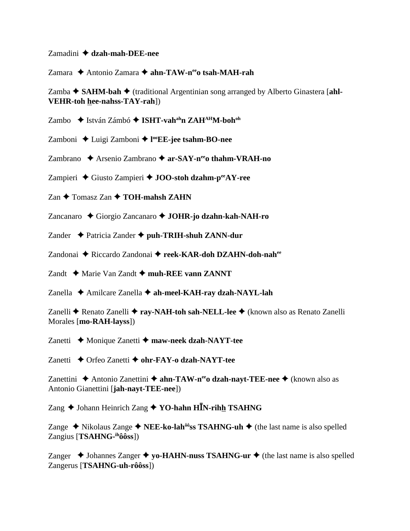Zamadini **dzah-mah-DEE-nee**

Zamara ◆ Antonio Zamara ◆ ahn-TAW-n<sup>ee</sup>o tsah-MAH-rah

Zamba ◆ SAHM-bah ◆ (traditional Argentinian song arranged by Alberto Ginastera [ahl-**VEHR-toh hee-nahss-TAY-rah**])

Zambo ◆ István Zámbó ◆ **ISHT-vah<sup>ah</sup>n ZAH<sup>AH</sup>M-boh<sup>oh</sup>** 

Zamboni Luigi Zamboni **l ooEE-jee tsahm-BO-nee**

Zambrano ◆ Arsenio Zambrano ◆ ar-SAY-n<sup>ee</sup>o thahm-VRAH-no

Zampieri Giusto Zampieri **JOO-stoh dzahm-peeAY-ree**

 $Zan \triangleleft$  Tomasz Zan  $\triangleleft$  **TOH-mahsh ZAHN** 

Zancanaro Giorgio Zancanaro **JOHR-jo dzahn-kah-NAH-ro**

Zander Patricia Zander **puh-TRIH-shuh ZANN-dur**

Zandonai ◆ Riccardo Zandonai ◆ reek-KAR-doh DZAHN-doh-nah<sup>ee</sup>

Zandt  $\rightarrow$  Marie Van Zandt  $\rightarrow$  muh-REE vann ZANNT

Zanella **←** Amilcare Zanella ← ah-meel-KAH-ray dzah-NAYL-lah

Zanelli ◆ Renato Zanelli ◆ ray-NAH-toh sah-NELL-lee ◆ (known also as Renato Zanelli Morales [**mo-RAH-layss**])

Zanetti ◆ Monique Zanetti ◆ maw-neek dzah-NAYT-tee

Zanetti **→** Orfeo Zanetti ◆ ohr-FAY-o dzah-NAYT-tee

Zanettini ◆ Antonio Zanettini ◆ **ahn-TAW-n<sup>ee</sup>o dzah-nayt-TEE-nee ◆** (known also as Antonio Gianettini [**jah-nayt-TEE-nee**])

Zang ♦ Johann Heinrich Zang ♦ YO-hahn H**I**N-rihh TSAHNG

Zange  $\triangle$  Nikolaus Zange  $\triangle$  **NEE-ko-lah<sup>ôô</sup>ss TSAHNG-uh**  $\triangle$  (the last name is also spelled Zangius [**TSAHNG-ihôôss**])

Zanger  $\triangle$  Johannes Zanger  $\triangle$  yo-HAHN-nuss TSAHNG-ur  $\triangle$  (the last name is also spelled Zangerus [**TSAHNG-uh-rôôss**])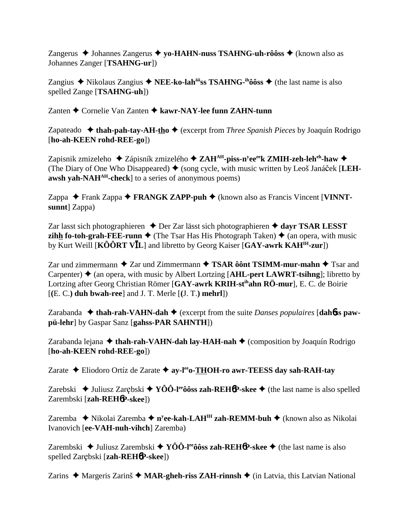Zangerus  $\triangle$  Johannes Zangerus  $\triangle$  yo-HAHN-nuss TSAHNG-uh-rôôss  $\triangle$  (known also as Johannes Zanger [TSAHNG-ur])

Zangius  $\triangle$  Nikolaus Zangius  $\triangle$  NEE-ko-lah<sup> $\hat{\theta}$ os TSAHNG-<sup>in</sup>ôôss  $\triangle$  (the last name is also</sup> spelled Zange [TSAHNG-uh])

Zanten  $\triangle$  Cornelie Van Zanten  $\triangle$  kawr-NAY-lee funn ZAHN-tunn

Zapateado  $\triangleleft$  thah-pah-tay-AH-tho  $\triangleleft$  (excerpt from *Three Spanish Pieces* by Joaquín Rodrigo [ho-ah-KEEN rohd-REE-go])

Zapisnik zmizeleho  $\triangle$  Zápisník zmizelého  $\triangle$  ZAH<sup>AH</sup>-piss-n<sup>y</sup>ee<sup>ee</sup>k ZMIH-zeh-leh<sup>eh</sup>-haw  $\triangle$ (The Diary of One Who Disappeared)  $\blacklozenge$  (song cycle, with music written by Leoš Janáček [LEHawsh yah-NAH<sup>AH</sup>-check] to a series of anonymous poems)

Zappa  $\triangle$  Frank Zappa  $\triangle$  FRANGK ZAPP-puh  $\triangle$  (known also as Francis Vincent [VINNTsunnt] Zappa)

Zar lasst sich photographieren  $\triangle$  Der Zar lässt sich photographieren  $\triangle$  dayr TSAR LESST **zihh fo-toh-grah-FEE-runn**  $\triangleq$  (The Tsar Has His Photograph Taken)  $\triangleq$  (an opera, with music by Kurt Weill [KÔÔRT VIL] and libretto by Georg Kaiser [GAY-awrk KAH<sup>IH</sup>-zur])

Zar und zimmermann  $\triangle$  Zar und Zimmermann  $\triangle$  TSAR ôônt TSIMM-mur-mahn  $\triangle$  Tsar and Carpenter)  $\triangle$  (an opera, with music by Albert Lortzing [AHL-pert LAWRT-tsihng]; libretto by Lortzing after Georg Christian Römer [GAY-awrk KRIH-st<sup>ih</sup>ahn RÖ-mur], E. C. de Boirie  $[(E, C.)$  duh bwah-ree] and J. T. Merle  $[(J, T.)$  mehrl])

Zarabanda  $\triangleleft$  thah-rah-VAHN-dah  $\triangleleft$  (excerpt from the suite *Danses populaires* [dahbs pawpü-lehr] by Gaspar Sanz [gahss-PAR SAHNTH])

Zarabanda lejana  $\triangleleft$  thah-rah-VAHN-dah lay-HAH-nah  $\triangleleft$  (composition by Joaquín Rodrigo [ho-ah-KEEN rohd-REE-go])

Zarate ◆ Eliodoro Ortíz de Zarate ◆ ay-l<sup>ee</sup>o-THOH-ro awr-TEESS day sah-RAH-tay

Zarebski  $\triangle$  Juliusz Zarębski  $\triangle$  YOO-l<sup>ee</sup> ô os zah-REH 6P-skee  $\triangle$  (the last name is also spelled Zarembski [zah-REH6P-skee])

Zaremba  $\triangleq$  Nikolai Zaremba  $\triangleq$  n<sup>y</sup>ee-kah-LAH<sup>IH</sup> zah-REMM-buh  $\triangleq$  (known also as Nikolai Ivanovich [ee-VAH-nuh-vihch] Zaremba)

Zarembski  $\triangle$  Juliusz Zarembski  $\triangle$  YÔÔ-l<sup>ee</sup>ôôss zah-REH**óP**-skee  $\triangle$  (the last name is also spelled Zarębski [zah-REH6P-skee])

Zarins  $\triangle$  Margeris Zarinš  $\triangle$  MAR-gheh-riss ZAH-rinnsh  $\triangle$  (in Latvia, this Latvian National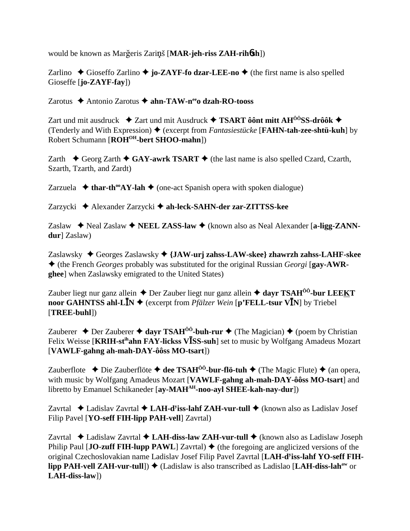would be known as Margeris Zarinš [MAR-jeh-riss ZAH-rihosh])

Zarlino  $\triangle$  Gioseffo Zarlino  $\triangle$  jo-ZAYF-fo dzar-LEE-no  $\triangle$  (the first name is also spelled  $Gioseffe$  [**jo-ZAYF-fay**])

Zarotus  $\triangle$  Antonio Zarotus  $\triangle$  ahn-TAW-n<sup>ee</sup>o dzah-RO-tooss

Zart und mit ausdruck  $\div$  Zart und mit Ausdruck  $\div$  TSART ôônt mitt AH<sup> $\hat{0}$ ôSS-drôôk  $\leftrightarrow$ </sup> (Tenderly and With Expression)  $\blacklozenge$  (excerpt from *Fantasiestiicke* [**FAHN-tah-zee-shtü-kuh**] by Robert Schumann [ROH<sup>OH</sup>-bert SHOO-mahn])

Zarth  $\triangle$  Georg Zarth  $\triangle$  GAY-awrk TSART  $\triangle$  (the last name is also spelled Czard, Czarth, Szarth, Tzarth, and Zardt)

Zarzuela  $\triangleq$  thar-th<sup>oo</sup>AY-lah  $\triangleq$  (one-act Spanish opera with spoken dialogue)

Zarzycki ◆ Alexander Zarzycki ◆ ah-leck-SAHN-der zar-ZITTSS-kee

Zaslaw  $\triangle$  Neal Zaslaw  $\triangle$  NEEL ZASS-law  $\triangle$  (known also as Neal Alexander [a-ligg-ZANNdur] Zaslaw)

Zaslawsky  $\triangle$  Georges Zaslawsky  $\triangle$  {JAW-urj zahss-LAW-skee} zhawrzh zahss-LAHF-skee  $\blacklozenge$  (the French *Georges* probably was substituted for the original Russian *Georgi* [gay-AWR**ghee**] when Zaslawsky emigrated to the United States)

Zauber liegt nur ganz allein  $\triangle$  Der Zauber liegt nur ganz allein  $\triangle$  dayr TSAH<sup>00</sup>-bur LEEKT noor GAHNTSS ahl-L $\bar{I}N \triangleq$  (excerpt from *Pfälzer Wein* [p'FELL-tsur V $\bar{I}N$ ] by Triebel  $\left|\text{TREE-buhl}\right|$ 

Zauberer  $\triangle$  Der Zauberer  $\triangle$  dayr TSAH<sup>00</sup>-buh-rur  $\triangle$  (The Magician)  $\triangle$  (poem by Christian Felix Weisse [KRIH-st<sup>ih</sup>ahn FAY-lickss V**ISS-suh**] set to music by Wolfgang Amadeus Mozart [VAWLF-gahng ah-mah-DAY-ôôss MO-tsart])

Zauberflote  $\triangle$  Die Zauberflöte  $\triangle$  dee TSAH<sup>00</sup>-bur-flö-tuh  $\triangle$  (The Magic Flute)  $\triangle$  (an opera, with music by Wolfgang Amadeus Mozart [VAWLF-gahng ah-mah-DAY-ôôss MO-tsart] and libretto by Emanuel Schikaneder [ay-MAH<sup>AH</sup>-noo-ayl SHEE-kah-nay-dur])

Zavrtal  $\triangle$  Ladislav Zavrtal  $\triangle$  LAH-d<sup>y</sup>iss-lahf ZAH-vur-tull  $\triangle$  (known also as Ladislav Josef Filip Pavel [YO-seff FIH-lipp PAH-vell] Zavrtal)

Zavrtal  $\triangle$  Ladislaw Zavrtal  $\triangle$  LAH-diss-law ZAH-vur-tull  $\triangle$  (known also as Ladislaw Joseph Philip Paul [JO-zuff FIH-lupp PAWL] Zavrtal)  $\blacklozenge$  (the foregoing are anglicized versions of the original Czechoslovakian name Ladislav Josef Filip Pavel Zavrtal [LAH-d<sup>y</sup>iss-lahf YO-seff FIHlipp PAH-vell ZAH-vur-tull])  $\triangleq$  (Ladislaw is also transcribed as Ladislao [LAH-diss-lah<sup>aw</sup> or  $LAH$ -diss-law])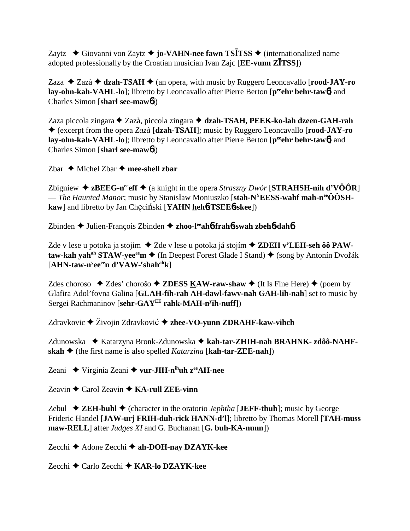Zaytz  $\rightarrow$  Giovanni von Zaytz  $\rightarrow$  **jo-VAHN-nee fawn TSITSS**  $\rightarrow$  (internationalized name adopted professionally by the Croatian musician Ivan Zajc [**EE-vunn ZTSS**])

Zaza  $\triangle$  Zazà  $\triangle$  **dzah-TSAH**  $\triangle$  (an opera, with music by Ruggero Leoncavallo [**rood-JAY-ro** lay-ohn-kah-VAHL-lo]; libretto by Leoncavallo after Pierre Berton [peehr behr-taw6] and Charles Simon [**sharl see-maw**6])

Zaza piccola zingara ◆ Zazà, piccola zingara ◆ dzah-TSAH, PEEK-ko-lah dzeen-GAH-rah (excerpt from the opera *Zazà* [**dzah-TSAH**]; music by Ruggero Leoncavallo [**rood-JAY-ro lay-ohn-kah-VAHL-lo**]; libretto by Leoncavallo after Pierre Berton [peehr behr-taw6] and Charles Simon [**sharl see-maw**6])

Zbar  $\triangle$  Michel Zbar  $\triangle$  mee-shell zbar

Zbigniew  $\triangle$  **zBEEG-n<sup>ee</sup>eff**  $\triangle$  (a knight in the opera *Straszny Dwór* [**STRAHSH-nih d'VÔÔR**] — *The Haunted Manor*; music by Stanisław Moniuszko [stah-N<sup>Y</sup>EESS-wahf mah-n<sup>ee</sup>ÔÔSH**kaw**] and libretto by Jan Checinski [YAHN hehb-TSEEb-skee])

Zbinden Julien-François Zbinden **zhoo-leeah**6**-frah**6**-swah zbeh**6**-dah**6

Zde v lese u potoka ja stojim ◆ Zde v lese u potoka já stojím ◆ **ZDEH v'LEH-seh ôô PAWtaw-kah yah<sup>ah</sup> STAW-yee<sup>ee</sup>m ♦ (In Deepest Forest Glade I Stand) ♦ (song by Antonín Dvořák** [**AHN-taw-ny eeeen d'VAW-r shahahk**]

Zdes choroso  $\triangle$  Zdes' chorošo  $\triangle$  **ZDESS KAW-raw-shaw**  $\triangle$  (It Is Fine Here)  $\triangle$  (poem by Glafira Adol'fovna Galina [**GLAH-fih-rah AH-dawl-fawv-nah GAH-lih-nah**] set to music by Sergei Rachmaninov [**sehr-GAYEE rahk-MAH-ny ih-nuff**])

Zdravkovic **→** Živojin Zdravković → zhee-VO-yunn ZDRAHF-kaw-vihch

Zdunowska ◆ Katarzyna Bronk-Zdunowska ◆ kah-tar-ZHIH-nah BRAHNK- zdôô-NAHF**skah**  $\triangle$  (the first name is also spelled *Katarzina* [**kah-tar-ZEE-nah**])

Zeani ◆ Virginia Zeani ◆ vur-JIH-n<sup>ih</sup>uh z<sup>ee</sup>AH-nee

Zeavin  $\triangle$  Carol Zeavin  $\triangle$  **KA-rull ZEE-vinn** 

Zebul  $\blacklozenge$  **ZEH-buhl**  $\blacklozenge$  (character in the oratorio *Jephtha* [**JEFF-thuh**]; music by George Frideric Handel [**JAW-urj FRIH-duh-rick HANN-d'l**]; libretto by Thomas Morell [**TAH-muss maw-RELL**] after *Judges XI* and G. Buchanan [**G. buh-KA-nunn**])

Zecchi Adone Zecchi **ah-DOH-nay DZAYK-kee**

Zecchi Carlo Zecchi **KAR-lo DZAYK-kee**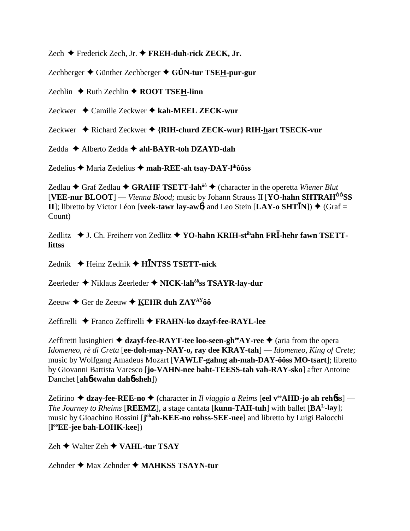Zech Frederick Zech, Jr. **FREH-duh-rick ZECK, Jr.**

Zechberger Günther Zechberger **GÜN-tur TSEH-pur-gur**

Zechlin  $\triangle$  Ruth Zechlin  $\triangle$  **ROOT TSEH-linn** 

Zeckwer ◆ Camille Zeckwer ◆ kah-MEEL ZECK-wur

Zeckwer ◆ Richard Zeckwer ◆ {RIH-churd ZECK-wur} RIH-hart TSECK-vur

Zedda Alberto Zedda **ahl-BAYR-toh DZAYD-dah**

Zedelius **→** Maria Zedelius → mah-REE-ah tsay-DAY-l<sup>ih</sup>ôôss

Zedlau ◆ Graf Zedlau ◆ GRAHF TSETT-lah<sup>ôô</sup> ◆ (character in the operetta *Wiener Blut* [**VEE-nur BLOOT**] — *Vienna Blood;* music by Johann Strauss II [**YO-hahn SHTRAHÔÔSS II**]; libretto by Victor Léon [**veek-tawr lay-aw6**] and Leo Stein  $[LAY - o SHT\overline{I}N]$   $\rightarrow$  (Graf = Count)

Zedlitz ◆ J. Ch. Freiherr von Zedlitz ◆ YO-hahn KRIH-st<sup>ih</sup>ahn FR**I**-hehr fawn TSETT**littss**

Zednik Heinz Zednik **HNTSS TSETT-nick**

Zeerleder Niklaus Zeerleder **NICK-lahôôss TSAYR-lay-dur**

Zeeuw  $\triangle$  Ger de Zeeuw  $\triangle$  KEHR duh ZAY<sup>AY</sup>ôô

Zeffirelli Franco Zeffirelli **FRAHN-ko dzayf-fee-RAYL-lee**

Zeffiretti lusinghieri  $\triangle$  dzayf-fee-RAYT-tee loo-seen-gh<sup>ee</sup>AY-ree  $\triangle$  (aria from the opera *Idomeneo, rè di Creta* [**ee-doh-may-NAY-o, ray dee KRAY-tah**] — *Idomeneo, King of Crete;* music by Wolfgang Amadeus Mozart [**VAWLF-gahng ah-mah-DAY-ôôss MO-tsart**]; libretto by Giovanni Battista Varesco [**jo-VAHN-nee baht-TEESS-tah vah-RAY-sko**] after Antoine Danchet [**ah**6**-twahn dah**6**-sheh**])

Zefirino  $\triangle$  dzay-fee-REE-no  $\triangle$  (character in *Il viaggio a Reims* [eel v<sup>ee</sup>AHD-jo ah reh6ss] — *The Journey to Rheims* [**REEMZ**], a stage cantata [**kunn-TAH-tuh**] with ballet [**BAL-lay**]; music by Gioachino Rossini [joh**ah-KEE-no rohss-SEE-nee**] and libretto by Luigi Balocchi [**l ooEE-jee bah-LOHK-kee**])

Zeh **→** Walter Zeh **→ VAHL-tur TSAY** 

Zehnder **→** Max Zehnder ◆ MAHKSS TSAYN-tur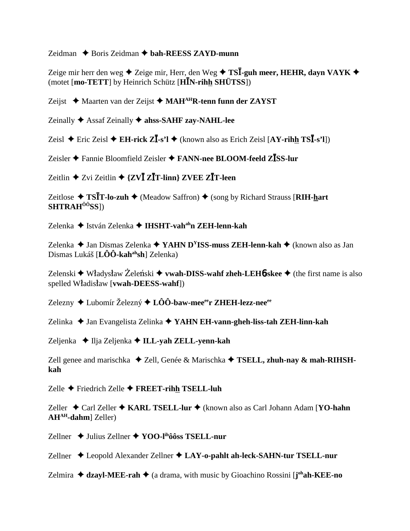Zeidman  $\triangle$  Boris Zeidman  $\triangle$  bah-REESS ZAYD-munn

Zeige mir herr den weg  $\triangle$  Zeige mir, Herr, den Weg  $\triangle$  TSI-guh meer, HEHR, davn VAYK  $\triangle$ (motet [mo-TETT] by Heinrich Schütz [HIN-rihh SHÜTSS])

Zeijst  $\triangleleft$  Maarten van der Zeijst  $\triangleleft$  MAH<sup>AH</sup>R-tenn funn der ZAYST

Zeinally  $\triangle$  Assaf Zeinally  $\triangle$  ahss-SAHF zay-NAHL-lee

Zeisl ◆ Eric Zeisl ◆ EH-rick  $Z\bar{I}$ -s'l ◆ (known also as Erich Zeisl [AY-rihh TS $\bar{I}$ -s'l])

Zeisler  $\triangle$  Fannie Bloomfield Zeisler  $\triangle$  FANN-nee BLOOM-feeld ZISS-lur

Zeitlin  $\triangle$  Zvi Zeitlin  $\triangle$  {ZV**I** Z**I**T-linn} ZVEE Z**I**T-leen

Zeitlose  $\triangle$  TSIT-lo-zuh  $\triangle$  (Meadow Saffron)  $\triangle$  (song by Richard Strauss [RIH-hart **SHTRAH<sup>ôô</sup>SS**])

Zelenka ◆ István Zelenka ◆ IHSHT-vah<sup>ah</sup>n ZEH-lenn-kah

Zelenka ◆ Jan Dismas Zelenka ◆ YAHN D<sup>Y</sup>ISS-muss ZEH-lenn-kah ◆ (known also as Jan Dismas Lukáš  $[L\hat{O}\hat{O} - kah^{ah}sh]$  Zelenka)

Zelenski • Władysław Żeleński • vwah-DISS-wahf zheh-LEH6-skee • (the first name is also spelled Władisław [vwah-DEESS-wahf])

Zelezny  $\triangle$  Lubomír Železný  $\triangle$  LÔÔ-baw-mee<sup>ee</sup>r ZHEH-lezz-nee<sup>ee</sup>

Zelinka ◆ Jan Evangelista Zelinka ◆ YAHN EH-vann-gheh-liss-tah ZEH-linn-kah

Zeljenka  $\triangleleft$  Ilja Zeljenka  $\triangleleft$  ILL-yah ZELL-yenn-kah

Zell genee and marischka  $\triangle$  Zell, Genée & Marischka  $\triangle$  TSELL, zhuh-nav & mah-RIHSHkah

Zelle ← Friedrich Zelle ← FREET-rihh TSELL-luh

Zeller ◆ Carl Zeller ◆ KARL TSELL-lur ◆ (known also as Carl Johann Adam [YO-hahn AH<sup>AH</sup>-dahm] Zeller)

Zellner  $\leftrightarrow$  Julius Zellner  $\leftrightarrow$  YOO-l<sup>ih</sup>ôôss TSELL-nur

Zellner ◆ Leopold Alexander Zellner ◆ LAY-o-pahlt ah-leck-SAHN-tur TSELL-nur

Zelmira  $\triangleleft$  dzayl-MEE-rah  $\triangleleft$  (a drama, with music by Gioachino Rossini [j<sup>oh</sup>ah-KEE-no]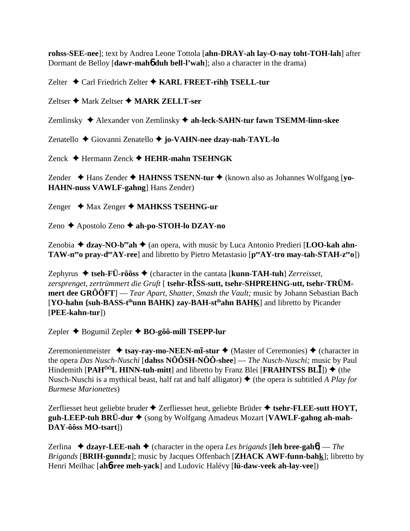**rohss-SEE-nee**]; text by Andrea Leone Tottola [**ahn-DRAY-ah lay-O-nay toht-TOH-lah**] after Dormant de Belloy [**dawr-mah**6 **duh bell-l'wah**]; also a character in the drama)

Zelter ◆ Carl Friedrich Zelter ◆ KARL FREET-rihh TSELL-tur

Zeltser ◆ Mark Zeltser ◆ MARK ZELLT-ser

Zemlinsky Alexander von Zemlinsky **ah-leck-SAHN-tur fawn TSEMM-linn-skee**

Zenatello Giovanni Zenatello **jo-VAHN-nee dzay-nah-TAYL-lo**

Zenck Hermann Zenck **HEHR-mahn TSEHNGK**

Zender ◆ Hans Zender ◆ **HAHNSS TSENN-tur** ◆ (known also as Johannes Wolfgang [vo-**HAHN-nuss VAWLF-gahng**] Hans Zender)

Zenger **→** Max Zenger ◆ MAHKSS TSEHNG-ur

Zeno Apostolo Zeno **ah-po-STOH-lo DZAY-no**

Zenobia  $\triangleq$  dzay-NO-b<sup>ee</sup> ah  $\triangleq$  (an opera, with music by Luca Antonio Predieri [**LOO-kah ahn-TAW-n<sup>ee</sup> pray-d<sup>ee</sup>AY-ree**] and libretto by Pietro Metastasio [p<sup>ee</sup>AY-tro may-tah-STAH-z<sup>ee</sup>o])

Zephyrus  $\triangle$  tseh-FÜ-rôôss  $\triangle$  (character in the cantata [**kunn-TAH-tuh**] *Zerreisset, zersprenget, zertrümmert die Gruft* [ **tsehr-RSS-sutt, tsehr-SHPREHNG-utt, tsehr-TRÜMmert dee GRÔÔFT**] — *Tear Apart, Shatter, Smash the Vault;* music by Johann Sebastian Bach [**YO-hahn {suh-BASS-tihunn BAHK} zay-BAH-stihahn BAHK**] and libretto by Picander [**PEE-kahn-tur**])

Zepler Bogumil Zepler **BO-gôô-mill TSEPP-lur**

Zeremonienmeister  $\triangleleft$  **tsay-ray-mo-NEEN-mī-stur**  $\triangleleft$  (Master of Ceremonies)  $\triangleleft$  (character in the opera *Das Nusch-Nuschi* [**dahss NÔÔSH-NÔÔ-shee**] — *The Nusch-Nuschi;* music by Paul Hindemith  $[PAH^{00}L HINN-tuh-mitt]$  and libretto by Franz Blei  $[FRAHNTSS BL\bar{I}]$ )  $\blacklozenge$  (the Nusch-Nuschi is a mythical beast, half rat and half alligator)  $\triangle$  (the opera is subtitled *A Play for Burmese Marionettes*)

Zerfliesset heut geliebte bruder  $\triangle$  Zerfliesset heut, geliebte Brüder  $\triangle$  tsehr-FLEE-sutt HOYT, guh-LEEP-tuh BRÜ-dur ♦ (song by Wolfgang Amadeus Mozart [VAWLF-gahng ah-mah-**DAY-ôôss MO-tsart**])

Zerlina  $\triangleleft$  **dzayr-LEE-nah**  $\triangleleft$  (character in the opera *Les brigands* [leh bree-gah**6**] — *The Brigands* [**BRIH-gunndz**]; music by Jacques Offenbach [**ZHACK AWF-funn-bahk**]; libretto by Henri Meilhac [**ah**6**-ree meh-yack**] and Ludovic Halévy [**lü-daw-veek ah-lay-vee**])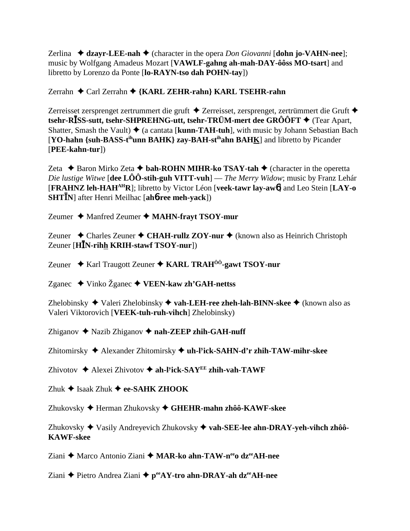Zerlina  $\triangleleft$  dzayr-LEE-nah  $\triangleleft$  (character in the opera *Don Giovanni* [dohn jo-VAHN-nee]; music by Wolfgang Amadeus Mozart [VAWLF-gahng ah-mah-DAY-ôôss MO-tsart] and libretto by Lorenzo da Ponte [lo-RAYN-tso dah POHN-tay])

Zerrahn ◆ Carl Zerrahn ◆ {KARL ZEHR-rahn} KARL TSEHR-rahn

Zerreisset zersprenget zertrummert die gruft ◆ Zerreisset, zersprenget, zertrümmert die Gruft ◆ tsehr-RĪSS-sutt, tsehr-SHPREHNG-utt, tsehr-TRÜM-mert dee GRÔÔFT ♦ (Tear Apart, Shatter, Smash the Vault)  $\triangleq$  (a cantata [kunn-TAH-tuh], with music by Johann Sebastian Bach [YO-hahn {suh-BASS-t<sup>ih</sup>unn BAHK} zay-BAH-st<sup>ih</sup>ahn BAHK] and libretto by Picander  $[PEE-kahn-tur]$ 

Zeta  $\triangle$  Baron Mirko Zeta  $\triangle$  bah-ROHN MIHR-ko TSAY-tah  $\triangle$  (character in the operetta *Die lustige Witwe* [dee  $\angle$ LÔÔ-stih-guh VITT-vuh] — *The Merry Widow*; music by Franz Lehár [FRAHNZ leh-HAH<sup>AH</sup>R]; libretto by Victor Léon [veek-tawr lay-awo] and Leo Stein [LAY-o] **SHTIN** after Henri Meilhac [ah**o-ree meh-yack**])

Zeumer  $\triangle$  Manfred Zeumer  $\triangle$  MAHN-frayt TSOY-mur

Zeuner  $\triangle$  Charles Zeuner  $\triangle$  CHAH-rullz ZOY-nur  $\triangle$  (known also as Heinrich Christoph Zeuner [ $H\bar{I}N$ -rihh KRIH-stawf TSOY-nur])

Zeuner  $\triangle$  Karl Traugott Zeuner  $\triangle$  KARL TRAH<sup>00</sup>-gawt TSOY-nur

Zganec  $\blacklozenge$  Vinko Žganec  $\blacklozenge$  VEEN-kaw zh'GAH-nettss

Zhelobinsky ◆ Valeri Zhelobinsky ◆ vah-LEH-ree zheh-lah-BINN-skee ◆ (known also as Valeri Viktorovich [VEEK-tuh-ruh-vihch] Zhelobinsky)

Zhiganov  $\blacklozenge$  Nazib Zhiganov  $\blacklozenge$  nah-ZEEP zhih-GAH-nuff

Zhitomirsky ♦ Alexander Zhitomirsky ♦ uh-l<sup>y</sup>ick-SAHN-d'r zhih-TAW-mihr-skee

Zhivotov ◆ Alexei Zhivotov ◆ ah-l<sup>y</sup>ick-SAY<sup>EE</sup> zhih-vah-TAWF

Zhuk  $\triangleq$  Isaak Zhuk  $\triangleq$  ee-SAHK ZHOOK

Zhukovsky → Herman Zhukovsky → GHEHR-mahn zhôô-KAWF-skee

Zhukovsky ◆ Vasily Andreyevich Zhukovsky ◆ vah-SEE-lee ahn-DRAY-yeh-vihch zhôô-**KAWF-skee** 

Ziani ♦ Marco Antonio Ziani ♦ MAR-ko ahn-TAW-n<sup>ee</sup>o dz<sup>ee</sup>AH-nee

Ziani ← Pietro Andrea Ziani ← pee AY-tro ahn-DRAY-ah dzee AH-nee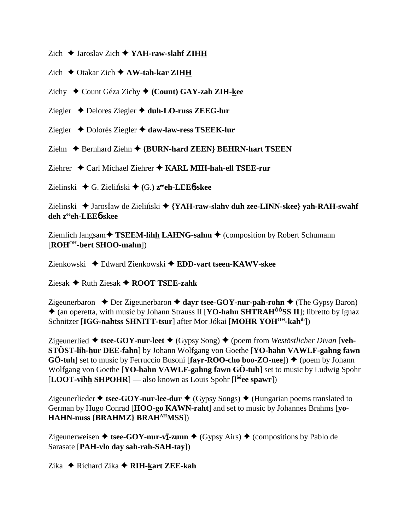Zich  $\triangle$  Jaroslav Zich  $\triangle$  YAH-raw-slahf ZIHH

Zich  $\triangle$  Otakar Zich  $\triangle$  AW-tah-kar ZIHH

Zichy ◆ Count Géza Zichy ◆ (Count) GAY-zah ZIH-kee

Ziegler Delores Ziegler **duh-LO-russ ZEEG-lur**

Ziegler **→** Dolorès Ziegler **→ daw-law-ress TSEEK-lur** 

Ziehn **← Bernhard Ziehn ← {BURN-hard ZEEN} BEHRN-hart TSEEN** 

Ziehrer **←** Carl Michael Ziehrer ← KARL MIH-hah-ell TSEE-rur

Zielinski ◆ G. Zieliński ◆ (G.)  $z^{ee}$ **ch-LEE<sup>6</sup>-skee** 

Zielinski ◆ Jarosław de Zieliński ◆ {YAH-raw-slahv duh zee-LINN-skee} yah-RAH-swahf **deh zeeeh-LEE**6**-skee**

Ziemlich langsam **★ TSEEM-lihh LAHNG-sahm** ◆ (composition by Robert Schumann [**ROHOH-bert SHOO-mahn**])

Zienkowski Edward Zienkowski **EDD-vart tseen-KAWV-skee**

Ziesak **→** Ruth Ziesak **→ ROOT TSEE-zahk** 

Zigeunerbaron  $\triangle$  Der Zigeunerbaron  $\triangle$  dayr tsee-GOY-nur-pah-rohn  $\triangle$  (The Gypsy Baron) (an operetta, with music by Johann Strauss II [**YO-hahn SHTRAHÔÔSS II**]; libretto by Ignaz Schnitzer [**IGG-nahtss SHNITT-tsur**] after Mor Jókai [**MOHR YOH<sup>OH</sup>-kah**<sup>ih</sup>])

Zigeunerlied  $\triangle$  tsee-GOY-nur-leet  $\triangle$  (Gypsy Song)  $\triangle$  (poem from *Westöstlicher Divan* [veh-**STÖST-lih-hur DEE-fahn**] by Johann Wolfgang von Goethe [**YO-hahn VAWLF-gahng fawn GÖ-tuh**] set to music by Ferruccio Busoni [**fayr-ROO-cho boo-ZO-nee**]) ♦ (poem by Johann Wolfgang von Goethe [**YO-hahn VAWLF-gahng fawn GÖ-tuh**] set to music by Ludwig Spohr [**LOOT-vihh SHPOHR**] — also known as Louis Spohr [**l ôôee spawr**])

Zigeunerlieder  $\triangleq$  tsee-GOY-nur-lee-dur  $\triangleq$  (Gypsy Songs)  $\triangleq$  (Hungarian poems translated to German by Hugo Conrad [**HOO-go KAWN-raht**] and set to music by Johannes Brahms [**yo-HAHN-nuss {BRAHMZ} BRAHAHMSS**])

Zigeunerweisen ◆ tsee-GOY-nur-v**ī-zunn** ◆ (Gypsy Airs) ◆ (compositions by Pablo de Sarasate [**PAH-vlo day sah-rah-SAH-tay**])

Zika  $\triangle$  Richard Zika  $\triangle$  **RIH-kart ZEE-kah**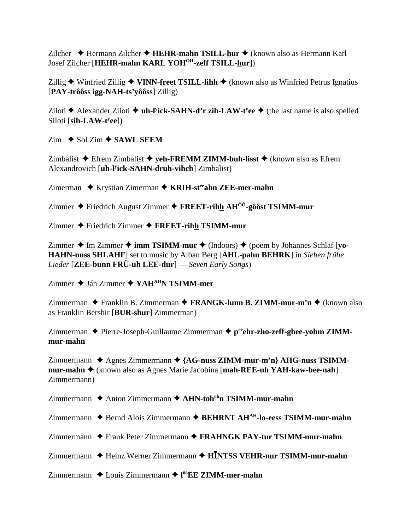Zilcher ◆ Hermann Zilcher ◆ **HEHR-mahn TSILL-hur** ◆ (known also as Hermann Karl Josef Zilcher [**HEHR-mahn KARL YOHOH-zeff TSILL-hur**])

Zillig **→** Winfried Zillig ◆ **VINN-freet TSILL-lihh** ◆ (known also as Winfried Petrus Ignatius [**PAY-trôôss igg-NAH-ts'yôôss**] Zillig)

Ziloti ◆ Alexander Ziloti ◆ uh-l<sup>y</sup>ick-SAHN-d'r zih-LAW-t<sup>y</sup>ee ◆ (the last name is also spelled Siloti [sih-LAW-t<sup>y</sup>ee])

 $\text{Zim} \triangleleft \text{Sol} \text{Zim} \triangleleft \text{SAWL}$  SEEM

Zimbalist  $\triangle$  Efrem Zimbalist  $\triangle$  veh-FREMM ZIMM-buh-lisst  $\triangle$  (known also as Efrem Alexandrovich [**uh-ly ick-SAHN-druh-vihch**] Zimbalist)

Zimerman ◆ Krystian Zimerman ◆ KRIH-st<sup>ee</sup>ahn ZEE-mer-mahn

Zimmer  $\triangle$  Friedrich August Zimmer  $\triangle$  **FREET-rihh AH<sup>** $\hat{O}$ **O**-gôôst **TSIMM-mur**</sup>

Zimmer Friedrich Zimmer **FREET-rihh TSIMM-mur**

Zimmer **→** Im Zimmer  $\rightarrow$  **imm TSIMM-mur**  $\rightarrow$  (Indoors)  $\rightarrow$  (poem by Johannes Schlaf [**yo-HAHN-nuss SHLAHF**] set to music by Alban Berg [**AHL-pahn BEHRK**] in *Sieben frühe Lieder* [**ZEE-bunn FRÜ-uh LEE-dur**] — *Seven Early Songs*)

Zimmer Ján Zimmer **YAHAHN TSIMM-mer**

Zimmerman ◆ Franklin B. Zimmerman ◆ FRANGK-lunn B. ZIMM-mur-m'n ◆ (known also as Franklin Bershir [**BUR-shur**] Zimmerman)

Zimmerman ◆ Pierre-Joseph-Guillaume Zimmerman ◆ peehr-zho-zeff-ghee-yohm ZIMM**mur-mahn**

Zimmermann ◆ Agnes Zimmermann ◆ {AG-nuss ZIMM-mur-m'n} AHG-nuss TSIMM**mur-mahn ♦** (known also as Agnes Marie Jacobina [**mah-REE-uh YAH-kaw-bee-nah**] Zimmermann)

Zimmermann **→** Anton Zimmermann → AHN-toh<sup>oh</sup>n TSIMM-mur-mahn

Zimmermann ◆ Bernd Alois Zimmermann ◆ BEHRNT AH<sup>AH</sup>-lo-eess TSIMM-mur-mahn

Zimmermann ◆ Frank Peter Zimmermann ◆ FRAHNGK PAY-tur TSIMM-mur-mahn

Zimmermann ◆ Heinz Werner Zimmermann ◆ H**INTSS VEHR-nur TSIMM-mur-mahn** 

Zimmermann ◆ Louis Zimmermann ◆ l<sup>ôô</sup>EE ZIMM-mer-mahn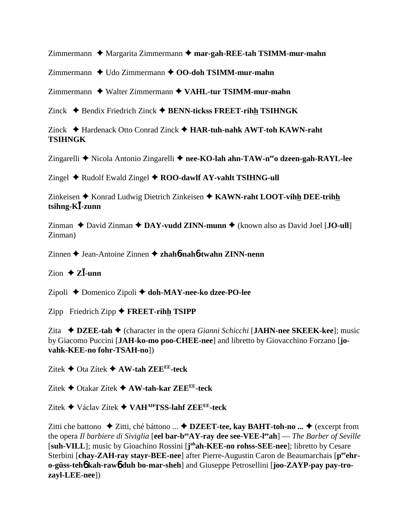Zimmermann ◆ Margarita Zimmermann ◆ mar-gah-REE-tah TSIMM-mur-mahn

Zimmermann ◆ Udo Zimmermann ◆ OO-doh TSIMM-mur-mahn

Zimmermann Walter Zimmermann **VAHL-tur TSIMM-mur-mahn**

Zinck Bendix Friedrich Zinck **BENN-tickss FREET-rihh TSIHNGK**

Zinck Hardenack Otto Conrad Zinck **HAR-tuh-nahk AWT-toh KAWN-raht TSIHNGK**

Zingarelli ◆ Nicola Antonio Zingarelli ◆ nee-KO-lah ahn-TAW-n<sup>ee</sup>o dzeen-gah-RAYL-lee

 $\text{Zingel} \triangleleft \text{Rudolf Ewald Zingel} \triangleleft \text{ROO-dawlf AY-vahlt TSIHNG-ull}$ 

Zinkeisen ◆ Konrad Ludwig Dietrich Zinkeisen ◆ KAWN-raht LOOT-vihh DEE-trihh **tsihng-K-zunn**

 $Zinman \triangleleft David Zinman \triangleleft DAY-vudd ZINN-munn \triangleleft (known also as David Joel [JO-ull]$ Zinman)

Zinnen ♦ Jean-Antoine Zinnen ♦ zhah**6-nah6-twahn ZINN-nenn** 

## $\overline{Z}$ ion  $\overline{Z}$ *Zl***<sub>-unn</sub>**

Zipoli Domenico Zipoli **doh-MAY-nee-ko dzee-PO-lee**

Zipp Friedrich Zipp **FREET-rihh TSIPP** 

Zita  $\rightarrow$  **DZEE-tah**  $\rightarrow$  (character in the opera *Gianni Schicchi* [**JAHN-nee SKEEK-kee**]; music by Giacomo Puccini [**JAH-ko-mo poo-CHEE-nee**] and libretto by Giovacchino Forzano [**jovahk-KEE-no fohr-TSAH-no**])

Zitek Ota Zítek **AW-tah ZEEEE-teck**

Zitek Otakar Zítek **AW-tah-kar ZEEEE-teck**

Zitek Václav Zítek **VAHAHTSS-lahf ZEEEE-teck**

Zitti che battono  $\triangle$  Zitti, ché báttono ...  $\triangle$  **DZEET-tee, kay BAHT-toh-no ...**  $\triangle$  (excerpt from the opera *Il barbiere di Siviglia* [**eel bar-beeAY-ray dee see-VEE-leeah**] — *The Barber of Seville* [suh-VILL]; music by Gioachino Rossini [johah-KEE-no rohss-SEE-nee]; libretto by Cesare Sterbini [chay-ZAH-ray stayr-BEE-nee] after Pierre-Augustin Caron de Beaumarchais [peehr**o-güss-teh**6 **kah-raw**6 **duh bo-mar-sheh**] and Giuseppe Petrosellini [**joo-ZAYP-pay pay-trozayl-LEE-nee**])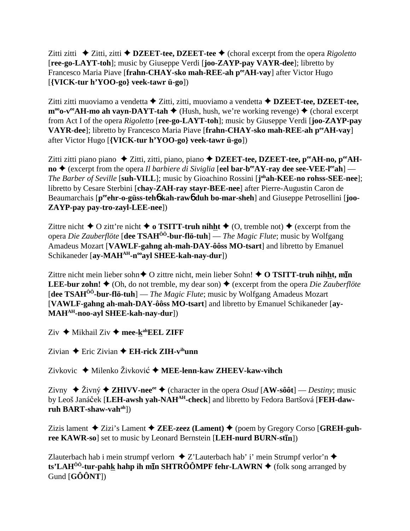Zitti zitti  $\triangle$  Zitti, zitti  $\triangle$  **DZEET-tee, DZEET-tee**  $\triangle$  (choral excerpt from the opera *Rigoletto* [**ree-go-LAYT-toh**]; music by Giuseppe Verdi [**joo-ZAYP-pay VAYR-dee**]; libretto by Francesco Maria Piave [**frahn-CHAY-sko mah-REE-ah peeAH-vay**] after Victor Hugo [**{VICK-tur h'YOO-go} veek-tawr ü-go**])

Zitti zitti muoviamo a vendetta  $\blacklozenge$  Zitti, zitti, muoviamo a vendetta  $\blacklozenge$  **DZEET-tee, DZEET-tee,**  $m^{\omega}$ **o-v<sup>ee</sup>AH-mo ah vayn-DAYT-tah**  $\blacklozenge$  (Hush, hush, we're working revenge)  $\blacklozenge$  (choral excerpt from Act I of the opera *Rigoletto* [**ree-go-LAYT-toh**]; music by Giuseppe Verdi [**joo-ZAYP-pay VAYR-dee**]; libretto by Francesco Maria Piave [**frahn-CHAY-sko mah-REE-ah peeAH-vay**] after Victor Hugo [**{VICK-tur h'YOO-go} veek-tawr ü-go**])

Zitti zitti piano piano ◆ Zitti, zitti, piano, piano ◆ **DZEET-tee, DZEET-tee, p<sup>ee</sup>AH-no, p<sup>ee</sup>AHno** ♦ (excerpt from the opera *Il barbiere di Siviglia* [eel bar-b<sup>ee</sup>AY-ray dee see-VEE-l<sup>ee</sup>ah] — *The Barber of Seville* [**suh-VILL**]; music by Gioachino Rossini [**j ohah-KEE-no rohss-SEE-nee**]; libretto by Cesare Sterbini [**chay-ZAH-ray stayr-BEE-nee**] after Pierre-Augustin Caron de Beaumarchais [p<sup>ee</sup>ehr-o-güss-teh**6** kah-raw6 duh bo-mar-sheh] and Giuseppe Petrosellini [joo-**ZAYP-pay pay-tro-zayl-LEE-nee**])

Zittre nicht  $\triangle$  O zitt're nicht  $\triangle$  o **TSITT-truh nihht**  $\triangle$  (O, tremble not)  $\triangle$  (excerpt from the opera *Die Zauberflöte* [**dee TSAHÔÔ-bur-flö-tuh**] — *The Magic Flute*; music by Wolfgang Amadeus Mozart [**VAWLF-gahng ah-mah-DAY-ôôss MO-tsart**] and libretto by Emanuel Schikaneder [ay-MAH<sup>AH</sup>-n<sup>oo</sup>ayl SHEE-kah-nay-dur])

Zittre nicht mein lieber sohn◆ O zittre nicht, mein lieber Sohn! ◆ O TSITT-truh nihht, min **LEE-bur zohn!**  $\triangleq$  (Oh, do not tremble, my dear son)  $\triangleq$  (excerpt from the opera *Die Zauberflöte* [**dee TSAHÔÔ-bur-flö-tuh**] — *The Magic Flute*; music by Wolfgang Amadeus Mozart [**VAWLF-gahng ah-mah-DAY-ôôss MO-tsart**] and libretto by Emanuel Schikaneder [**ay-MAHAH-noo-ayl SHEE-kah-nay-dur**])

Ziv  $\triangle$  Mikhail Ziv  $\triangle$  mee-k<sup>ah</sup>EEL ZIFF

Zivian  $\triangle$  Eric Zivian  $\triangle$  **EH-rick ZIH-v<sup>ih</sup>unn** 

Zivkovic ♦ Milenko Živković ♦ MEE-lenn-kaw ZHEEV-kaw-vihch

Zivny  $\triangle$  Živný  $\triangle$  **ZHIVV-nee**<sup>ee</sup>  $\triangle$  (character in the opera *Osud* [AW-sôôt] — *Destiny*; music by Leoš Janáček [**LEH-awsh yah-NAH<sup>AH</sup>-check**] and libretto by Fedora Bartšová [**FEH-dawruh BART-shaw-vahah**])

Zizis lament  $\triangle$  Zizi's Lament  $\triangle$  **ZEE-zeez** (Lament)  $\triangle$  (poem by Gregory Corso [GREH-guhree KAWR-so] set to music by Leonard Bernstein [LEH-nurd BURN-stin])

Zlauterbach hab i mein strumpf verlorn  $\triangle$  Z'Lauterbach hab' i' mein Strumpf verlor'n  $\triangle$ **ts'LAH<sup>ôô</sup>-tur-pahk hahp ih mīn SHTRÔÔMPF fehr-LAWRN ♦** (folk song arranged by Gund [**GÔÔNT**])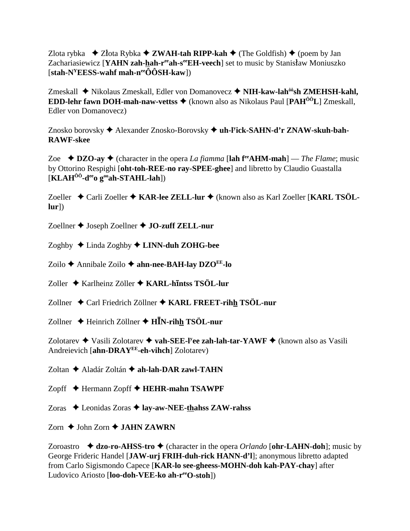Zlota rybka  $\triangleq$  Złota Rybka  $\triangleq$  ZWAH-tah RIPP-kah  $\triangleq$  (The Goldfish)  $\triangleq$  (poem by Jan Zachariasiewicz [YAHN zah-hah-reah-seeEH-veech] set to music by Stanisław Moniuszko  $[stab-N<sup>y</sup>EESS-wahf mah-n<sup>ee</sup>ÔÔSH-kaw]$ 

Zmeskall ◆ Nikolaus Zmeskall, Edler von Domanovecz ◆ NIH-kaw-lah<sup>ô6</sup>sh ZMEHSH-kahl, **EDD-lehr fawn DOH-mah-naw-vettss**  $\triangle$  (known also as Nikolaus Paul [PAH<sup> $\hat{0}$ 0 $\hat{0}$ L] Zmeskall,</sup> **Edler** von Domanovecz)

Znosko borovsky → Alexander Znosko-Borovsky → uh-Fick-SAHN-d'r ZNAW-skuh-bah-**RAWF-skee** 

Zoe  $\triangle$  DZO-ay  $\triangle$  (character in the opera *La fiamma* [lah f<sup>re</sup>AHM-mah] — *The Flame*; music by Ottorino Respighi [oht-toh-REE-no ray-SPEE-ghee] and libretto by Claudio Guastalla  $[\mathbf{KLAH}^{00}$ -d<sup>ee</sup>o g<sup>oo</sup>ah-STAHL-lah])

Zoeller ◆ Carli Zoeller ◆ KAR-lee ZELL-lur ◆ (known also as Karl Zoeller [KARL TSÖL- $|ur|$ 

Zoellner ♦ Joseph Zoellner ♦ JO-zuff ZELL-nur

Zoghby  $\triangle$  Linda Zoghby  $\triangle$  LINN-duh ZOHG-bee

Zoilo  $\triangle$  Annibale Zoilo  $\triangle$  ahn-nee-BAH-lay DZO<sup>EE</sup>-lo

Zoller  $\triangle$  Karlheinz Zöller  $\triangle$  KARL-hintss TSÖL-lur

Zollner ◆ Carl Friedrich Zöllner ◆ KARL FREET-rihh TSÖL-nur

Zollner  $\triangle$  Heinrich Zöllner  $\triangle$  HIN-rihh TSÖL-nur

Zolotarev ◆ Vasili Zolotarev ◆ vah-SEE-l<sup>y</sup>ee zah-lah-tar-YAWF ◆ (known also as Vasili Andreievich [ahn-DRAYEE-eh-vihch] Zolotarev)

Zoltan ◆ Aladár Zoltán ◆ ah-lah-DAR zawl-TAHN

Zopff ◆ Hermann Zopff ◆ HEHR-mahn TSAWPF

Zoras ◆ Leonidas Zoras ◆ lay-aw-NEE-thahss ZAW-rahss

Zorn  $\triangle$  John Zorn  $\triangle$  JAHN ZAWRN

Zoroastro  $\triangleleft$  dzo-ro-AHSS-tro  $\triangleleft$  (character in the opera *Orlando* [ohr-LAHN-doh]; music by George Frideric Handel [JAW-urj FRIH-duh-rick HANN-d'l]; anonymous libretto adapted from Carlo Sigismondo Capece [KAR-lo see-gheess-MOHN-doh kah-PAY-chay] after Ludovico Ariosto [loo-doh-VEE-ko ah-reeO-stoh])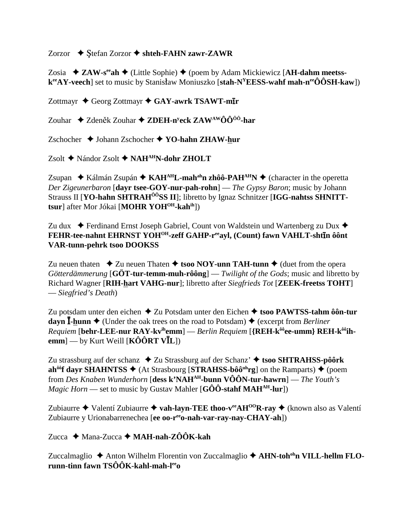## Zorzor  $\triangle$  Stefan Zorzor  $\triangle$  shteh-FAHN zawr-ZAWR

Zosia  $\triangle$  ZAW-s<sup>ee</sup> ah  $\triangle$  (Little Sophie)  $\triangle$  (poem by Adam Mickiewicz [AH-dahm meetss $k^{ee}AY\text{-}vec$ h set to music by Stanisław Moniuszko [stah-N<sup>Y</sup>EESS-wahf mah-n<sup>ee</sup>ÔÔSH-kaw])

Zottmayr ♦ Georg Zottmayr ♦ GAY-awrk TSAWT-mIr

Zouhar ◆ Zdeněk Zouhar ◆ ZDEH-n<sup>y</sup>eck ZAW<sup>AW</sup>ÔÔ<sup>ôô</sup>-har

Zschocher  $\triangle$  Johann Zschocher  $\triangle$  YO-hahn ZHAW-hur

Zsolt ◆ Nándor Zsolt ◆ NAH<sup>AH</sup>N-dohr ZHOLT

Zsupan  $\star$  Kálmán Zsupán  $\star$  KAH<sup>AH</sup>L-mah<sup>ah</sup>n zhôô-PAH<sup>AH</sup>N  $\star$  (character in the operetta Der Zigeunerbaron [dayr tsee-GOY-nur-pah-rohn] — The Gypsy Baron; music by Johann Strauss II [YO-hahn SHTRAH<sup>ôô</sup>SS II]; libretto by Ignaz Schnitzer [IGG-nahtss SHNITTtsur] after Mor Jókai [MOHR YOH<sup>OH</sup>-kah<sup>ih</sup>])

Zu dux  $\bullet$  Ferdinand Ernst Joseph Gabriel, Count von Waldstein und Wartenberg zu Dux  $\bullet$ FEHR-tee-nahnt EHRNST YOH<sup>OH</sup>-zeff GAHP-reeayl, (Count) fawn VAHLT-shtin ôônt **VAR-tunn-pehrk tsoo DOOKSS** 

Zu neuen thaten  $\triangle$  Zu neuen Thaten  $\triangle$  tsoo NOY-unn TAH-tunn  $\triangle$  (duet from the opera Götterdämmerung  $[G\ddot{\mathrm{O}}\mathbf{T}\text{-}\mathrm{tur\text{-}term\text{-}muh\text{-}r\hat{o}\hat{o}\mathrm{ng}]$  — Twilight of the Gods; music and libretto by Richard Wagner [RIH-hart VAHG-nur]; libretto after Siegfrieds Tot [ZEEK-freetss TOHT]  $\equiv$  Siegfried's Death)

Zu potsdam unter den eichen  $\triangle$  Zu Potsdam unter den Eichen  $\triangle$  tsoo PAWTSS-tahm ôôn-tur dayn  $\bar{I}$ -hunn  $\triangle$  (Under the oak trees on the road to Potsdam)  $\triangle$  (excerpt from *Berliner* Requiem [behr-LEE-nur RAY-kv<sup>ih</sup>emm] — Berlin Requiem [{REH-k<sup>ôô</sup>ee-umm} REH-k<sup>ôô</sup>ihemm $]-$  by Kurt Weill [KÔÔRT VĪL])

Zu strassburg auf der schanz  $\triangle$  Zu Strassburg auf der Schanz'  $\triangle$  tsoo SHTRAHSS-pôôrk ah<sup>ôô</sup>f davr SHAHNTSS  $\blacklozenge$  (At Strasbourg [STRAHSS-bôô<sup>nh</sup>rg] on the Ramparts)  $\blacklozenge$  (poem from Des Knaben Wunderhorn [dess k'NAH<sup>AH</sup>-bunn VÔÔN-tur-hawrn] — The Youth's *Magic Horn* — set to music by Gustav Mahler [G $\hat{O}\hat{O}$ -stahf MAH<sup>AH</sup>-lur])

Zubiaurre  $\triangle$  Valentí Zubiaurre  $\triangle$  vah-layn-TEE thoo-v<sup>ec</sup>AH<sup>00</sup>R-ray  $\triangle$  (known also as Valentí Zubiaurre y Urionabarrenechea [ee oo-r<sup>ee</sup>o-nah-var-ray-nay-CHAY-ah])

Zucca ◆ Mana-Zucca ◆ MAH-nah-ZÔÔK-kah

Zuccalmaglio  $\triangle$  Anton Wilhelm Florentin von Zuccalmaglio  $\triangle$  AHN-toh<sup>oh</sup>n VILL-hellm FLOrunn-tinn fawn TSÔÔK-kahl-mah-lee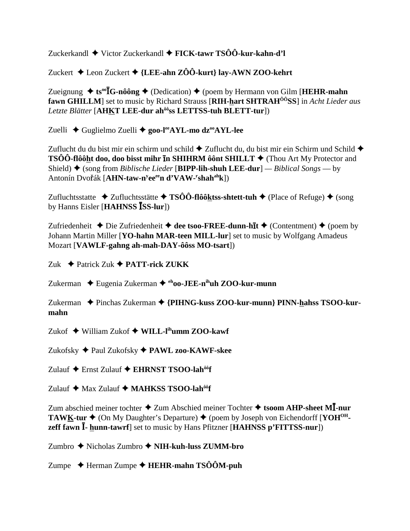Zuckerkandl  $\blacklozenge$  Victor Zuckerkandl  $\blacklozenge$  FICK-tawr TSÔÔ-kur-kahn-d'l

Zuckert  $\triangle$  Leon Zuckert  $\triangle$  {LEE-ahn ZÔÔ-kurt} lay-AWN ZOO-kehrt

Zueignung  $\triangleq$  ts<sup>oo</sup>**I**G-nôông  $\triangleq$  (Dedication)  $\triangleq$  (poem by Hermann von Gilm [HEHR-mahn] **fawn GHILLM**] set to music by Richard Strauss [RIH-hart SHTRAH<sup>00</sup>SS] in *Acht Lieder aus* Letzte Blätter [AHKT LEE-dur ah<sup>ôô</sup>ss LETTSS-tuh BLETT-tur])

Zuelli ♦ Guglielmo Zuelli ♦ goo-l<sup>ee</sup>AYL-mo dz<sup>oo</sup>AYL-lee

Zuflucht du du bist mir ein schirm und schild  $\triangle$  Zuflucht du, du bist mir ein Schirm und Schild  $\triangle$ **TSÔÔ-flôôht doo, doo bisst mihr In SHIHRM ôônt SHILLT**  $\blacklozenge$  (Thou Art My Protector and Shield)  $\blacklozenge$  (song from *Biblische Lieder* [BIPP-lih-shuh LEE-dur] — *Biblical Songs* — by Antonín Dvořák [AHN-taw-n<sup>y</sup>ee<sup>ee</sup>n d'VAW-'shah<sup>ah</sup>k])

Zufluchtsstatte  $\rightarrow$  Zufluchtsstätte  $\rightarrow$  TSÔÔ-flôôktss-shtett-tuh  $\rightarrow$  (Place of Refuge)  $\rightarrow$  (song by Hanns Eisler [HAHNSS ISS-lur])

Zufriedenheit  $\triangle$  Die Zufriedenheit  $\triangle$  dee tsoo-FREE-dunn-hit  $\triangle$  (Contentment)  $\triangle$  (poem by Johann Martin Miller [YO-hahn MAR-teen MILL-lur] set to music by Wolfgang Amadeus Mozart [VAWLF-gahng ah-mah-DAY-ôôss MO-tsart])

Zuk  $\triangle$  Patrick Zuk  $\triangle$  PATT-rick ZUKK

Zukerman  $\triangle$  Eugenia Zukerman  $\triangle$  <sup>eh</sup>oo-JEE-n<sup>ih</sup>uh ZOO-kur-munn

Zukerman ◆ Pinchas Zukerman ◆ {PIHNG-kuss ZOO-kur-munn} PINN-hahss TSOO-kurmahn

Zukof  $\triangle$  William Zukof  $\triangle$  WILL-I<sup>ih</sup>umm ZOO-kawf

Zukofsky ◆ Paul Zukofsky ◆ PAWL zoo-KAWF-skee

Zulauf ◆ Ernst Zulauf ◆ EHRNST TSOO-lah<sup>ôô</sup>f

Zulauf ◆ Max Zulauf ◆ MAHKSS TSOO-lah<sup>ôô</sup>f

Zum abschied meiner tochter  $\triangle$  Zum Abschied meiner Tochter  $\triangle$  tsoom AHP-sheet MI-nur **TAWK-tur**  $\triangleq$  (On My Daughter's Departure)  $\triangleq$  (poem by Joseph von Eichendorff [YOH<sup>OH</sup>zeff fawn  $\bar{I}$ - hunn-tawrf set to music by Hans Pfitzner [HAHNSS p'FITTSS-nur])

Zumbro  $\triangle$  Nicholas Zumbro  $\triangle$  NIH-kuh-luss ZUMM-bro

Zumpe  $\triangle$  Herman Zumpe  $\triangle$  HEHR-mahn TSÔÔM-puh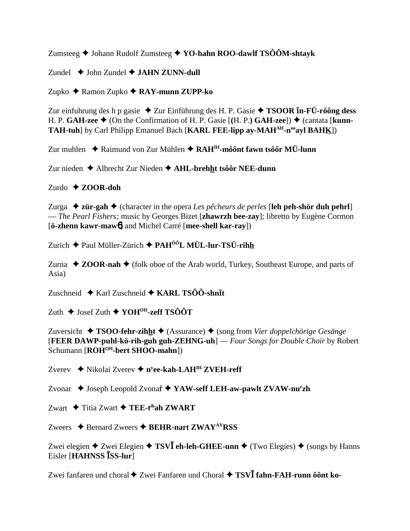Zumsteeg  $\triangle$  Johann Rudolf Zumsteeg  $\triangle$  YO-hahn ROO-dawlf TSÔÔM-shtayk

Zundel  $\triangle$  John Zundel  $\triangle$  JAHN ZUNN-dull

Zupko  $\triangle$  Ramon Zupko  $\triangle$  RAY-munn ZUPP-ko

Zur einfuhrung des h p gasie  $\triangle$  Zur Einführung des H. P. Gasie  $\triangle$  TSOOR In-FÜ-rôông dess H. P. GAH-zee  $\blacklozenge$  (On the Confirmation of H. P. Gasie [(H. P.) GAH-zee])  $\blacklozenge$  (cantata [kunn-TAH-tuh] by Carl Philipp Emanuel Bach [KARL FEE-lipp ay-MAH<sup>AH</sup>-n<sup>oo</sup>ayl BAHK])

Zur muhlen ◆ Raimund von Zur Mühlen ◆ RAH<sup>IH</sup>-môônt fawn tsôôr MÜ-lunn

Zur nieden ◆ Albrecht Zur Nieden ◆ AHL-brehht tsôôr NEE-dunn

## Zurdo  $\triangle$  ZOOR-doh

Zurga  $\triangle$  zür-gah  $\triangle$  (character in the opera Les pêcheurs de perles [leh peh-shör duh pehrl] - The Pearl Fishers; music by Georges Bizet [zhawrzh bee-zay]; libretto by Eugène Cormon [ö-zhenn kawr-maw<sup>6</sup>] and Michel Carré [mee-shell kar-ray])

Zurich ◆ Paul Müller-Zürich ◆ PAH<sup>ôô</sup>L MÜL-lur-TSÜ-rihh

Zurna  $\triangle$  ZOOR-nah  $\triangle$  (folk oboe of the Arab world, Turkey, Southeast Europe, and parts of Asia)

Zuschneid  $\triangle$  Karl Zuschneid  $\triangle$  KARL TSÔÔ-shn $\bar{I}$ t

Zuth ◆ Josef Zuth ◆ YOH<sup>OH</sup>-zeff TSÔÔT

Zuversicht  $\triangleleft TSOO$ -fehr-zihht  $\triangleleft$  (Assurance)  $\triangleleft$  (song from Vier doppelchörige Gesänge [FEER DAWP-puhl-kö-rih-guh guh-ZEHNG-uh] — Four Songs for Double Choir by Robert Schumann [ROH<sup>OH</sup>-bert SHOO-mahn])

Zverev ◆ Nikolai Zverev ◆ n<sup>y</sup>ee-kah-LAH<sup>IH</sup> ZVEH-reff

Zvonar ♦ Joseph Leopold Zvonař ♦ YAW-seff LEH-aw-pawlt ZVAW-nu<sup>r</sup>zh

Zwart  $\triangle$  Titia Zwart  $\triangle$  TEE-t<sup>ih</sup>ah ZWART

Zweers  $\triangle$  Bernard Zweers  $\triangle$  BEHR-nart ZWAY<sup>AY</sup>RSS

Zwei elegien  $\triangle$  Zwei Elegien  $\triangle$  TSVI eh-leh-GHEE-unn  $\triangle$  (Two Elegies)  $\triangle$  (songs by Hanns Eisler [HAHNSS ISS-lur]

Zwei fanfaren und choral ◆ Zwei Fanfaren und Choral ◆ TSVĪ fahn-FAH-runn ôônt ko-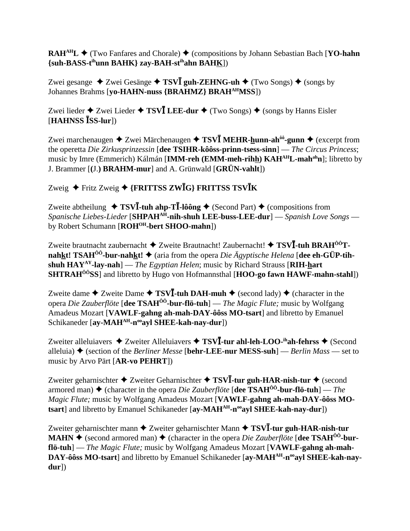**RAH<sup>AH</sup>L ♦ (Two Fanfares and Chorale) ♦ (compositions by Johann Sebastian Bach [<b>YO-hahn**] **{suh-BASS-tihunn BAHK} zay-BAH-stihahn BAHK**])

Zwei gesange  $\triangle$  Zwei Gesänge  $\triangle$  **TSV<b>I** guh-ZEHNG-uh  $\triangle$  (Two Songs)  $\triangle$  (songs by Johannes Brahms [**yo-HAHN-nuss {BRAHMZ} BRAHAHMSS**])

Zwei lieder  $\triangle$  Zwei Lieder  $\triangle$  **TSVI** LEE-dur  $\triangle$  (Two Songs)  $\triangle$  (songs by Hanns Eisler  $[HAHNSS$  $\overline{S}$  $\overline{S}$ **S-lur** $]$ 

Zwei marchenaugen ◆ Zwei Märchenaugen ◆ TSV**I** MEHR-hunn-ah<sup>ôô</sup>-gunn ◆ (excerpt from the operetta *Die Zirkusprinzessin* [**dee TSIHR-kôôss-prinn-tsess-sinn**] — *The Circus Princess*; music by Imre (Emmerich) Kálmán [**IMM-reh (EMM-meh-rihh) KAHAHL-mahahn**]; libretto by J. Brammer [**(**J.**) BRAHM-mur**] and A. Grünwald [**GRÜN-vahlt**])

## Zweig Fritz Zweig **{FRITTSS ZWG} FRITTSS TSVK**

Zweite abtheilung  $\rightarrow$  **TSVI**-tuh ahp-T**I**-lôông  $\rightarrow$  (Second Part)  $\rightarrow$  (compositions from *Spanische Liebes-Lieder* [**SHPAHAH-nih-shuh LEE-buss-LEE-dur**] — *Spanish Love Songs* by Robert Schumann [**ROHOH-bert SHOO-mahn**])

Zweite brautnacht zaubernacht ◆ Zweite Brautnacht! Zaubernacht! ◆ TSV**I-tuh BRAH<sup>ôô</sup>Tnahkt! TSAH<sup>** $\hat{0}$ **<sup>0</sup>-bur-nahkt!**  $\blacklozenge$  (aria from the opera *Die Ägyptische Helena* [dee eh-GÜP-tih-</sup> **shuh HAYAY-lay-nah**] — *The Egyptian Helen*; music by Richard Strauss [**RIH-hart SHTRAHÔÔSS**] and libretto by Hugo von Hofmannsthal [**HOO-go fawn HAWF-mahn-stahl**])

Zweite dame  $\triangle$  Zweite Dame  $\triangle$  **TSVI**-tuh DAH-muh  $\triangle$  (second lady)  $\triangle$  (character in the opera *Die Zauberflöte* [**dee TSAHÔÔ-bur-flö-tuh**] — *The Magic Flute;* music by Wolfgang Amadeus Mozart [**VAWLF-gahng ah-mah-DAY-ôôss MO-tsart**] and libretto by Emanuel Schikaneder [ay-MAH<sup>AH</sup>-n<sup>oo</sup>ayl SHEE-kah-nay-dur])

Zweiter alleluiavers  $\triangle$  Zweiter Alleluiavers  $\triangle$  **TSVI**-tur ahl-leh-LOO-<sup>ih</sup>ah-fehrss  $\triangle$  (Second alleluia)  $\blacklozenge$  (section of the *Berliner Messe* [**behr-LEE-nur MESS-suh**] — *Berlin Mass* — set to music by Arvo Pärt [**AR-vo PEHRT**])

Zweiter geharnischter ◆ Zweiter Geharnischter ◆ TSV**I-tur guh-HAR-nish-tur** ◆ (second armored man) (character in the opera *Die Zauberflöte* [**dee TSAHÔÔ-bur-flö-tuh**] — *The Magic Flute;* music by Wolfgang Amadeus Mozart [**VAWLF-gahng ah-mah-DAY-ôôss MO**tsart] and libretto by Emanuel Schikaneder [ay-MAH<sup>AH</sup>-n<sup>oo</sup>ayl SHEE-kah-nay-dur])

Zweiter geharnischter mann ◆ Zweiter geharnischter Mann ◆ TSV**I**-tur guh-HAR-nish-tur **MAHN**  $\blacklozenge$  (second armored man)  $\blacklozenge$  (character in the opera *Die Zauberflöte* [dee TSAH<sup>00</sup>-bur**flö-tuh**] — *The Magic Flute;* music by Wolfgang Amadeus Mozart [**VAWLF-gahng ah-mah-**DAY-ôôss MO-tsart] and libretto by Emanuel Schikaneder [ay-MAH<sup>AH</sup>-n<sup>oo</sup>ayl SHEE-kah-nay**dur**])